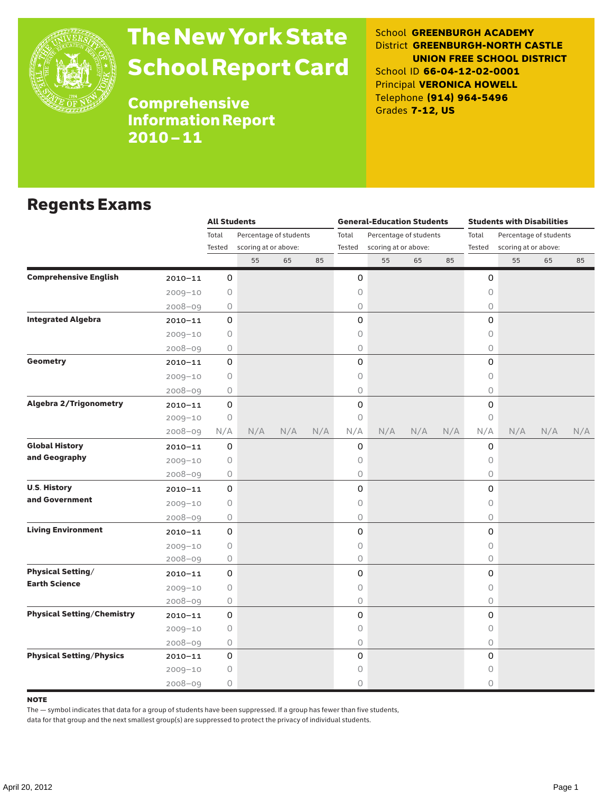

## The New York State School Report Card

School **GREENBURGH ACADEMY** District **GREENBURGH-NORTH CASTLE UNION FREE SCHOOL DISTRICT** School ID **66-04-12-02-0001** Principal **VERONICA HOWELL** Telephone **(914) 964-5496** Grades **7-12, US**

Comprehensive Information Report 2010–11

#### Regents Exams

|                                   |             | <b>All Students</b> |                                                |     |     | <b>General-Education Students</b> |                                                |     |     | <b>Students with Disabilities</b> |                        |     |     |
|-----------------------------------|-------------|---------------------|------------------------------------------------|-----|-----|-----------------------------------|------------------------------------------------|-----|-----|-----------------------------------|------------------------|-----|-----|
|                                   |             | Total               | Percentage of students<br>scoring at or above: |     |     | Total<br>Tested                   | Percentage of students<br>scoring at or above: |     |     | Total<br>Tested                   | Percentage of students |     |     |
|                                   |             | Tested              |                                                |     |     |                                   |                                                |     |     |                                   | scoring at or above:   |     |     |
|                                   |             |                     | 55                                             | 65  | 85  |                                   | 55                                             | 65  | 85  |                                   | 55                     | 65  | 85  |
| <b>Comprehensive English</b>      | $2010 - 11$ | 0                   |                                                |     |     | 0                                 |                                                |     |     | 0                                 |                        |     |     |
|                                   | $2009 - 10$ | 0                   |                                                |     |     | 0                                 |                                                |     |     | 0                                 |                        |     |     |
|                                   | 2008-09     | 0                   |                                                |     |     | 0                                 |                                                |     |     | $\bigcirc$                        |                        |     |     |
| <b>Integrated Algebra</b>         | $2010 - 11$ | 0                   |                                                |     |     | 0                                 |                                                |     |     | 0                                 |                        |     |     |
|                                   | $2009 - 10$ | 0                   |                                                |     |     | 0                                 |                                                |     |     | $\circ$                           |                        |     |     |
|                                   | $2008 - 09$ | 0                   |                                                |     |     | 0                                 |                                                |     |     | $\circ$                           |                        |     |     |
| <b>Geometry</b>                   | $2010 - 11$ | $\mathbf 0$         |                                                |     |     | 0                                 |                                                |     |     | $\Omega$                          |                        |     |     |
|                                   | $2009 - 10$ | 0                   |                                                |     |     | 0                                 |                                                |     |     | 0                                 |                        |     |     |
|                                   | $2008 - 09$ | 0                   |                                                |     |     | 0                                 |                                                |     |     | 0                                 |                        |     |     |
| <b>Algebra 2/Trigonometry</b>     | $2010 - 11$ | 0                   |                                                |     |     | 0                                 |                                                |     |     | $\mathsf{O}\xspace$               |                        |     |     |
|                                   | $2009 - 10$ | $\bigcirc$          |                                                |     |     | 0                                 |                                                |     |     | $\circ$                           |                        |     |     |
|                                   | $2008 - 09$ | N/A                 | N/A                                            | N/A | N/A | N/A                               | N/A                                            | N/A | N/A | N/A                               | N/A                    | N/A | N/A |
| <b>Global History</b>             | $2010 - 11$ | 0                   |                                                |     |     | 0                                 |                                                |     |     | 0                                 |                        |     |     |
| and Geography                     | $2009 - 10$ | 0                   |                                                |     |     | 0                                 |                                                |     |     | 0                                 |                        |     |     |
|                                   | $2008 - 09$ | 0                   |                                                |     |     | 0                                 |                                                |     |     | 0                                 |                        |     |     |
| <b>U.S. History</b>               | 2010-11     | 0                   |                                                |     |     | 0                                 |                                                |     |     | 0                                 |                        |     |     |
| and Government                    | $2009 - 10$ | 0                   |                                                |     |     | 0                                 |                                                |     |     | $\bigcirc$                        |                        |     |     |
|                                   | $2008 - 09$ | 0                   |                                                |     |     | 0                                 |                                                |     |     | $\circ$                           |                        |     |     |
| <b>Living Environment</b>         | $2010 - 11$ | 0                   |                                                |     |     | 0                                 |                                                |     |     | $\mathsf{O}$                      |                        |     |     |
|                                   | $2009 - 10$ | $\circ$             |                                                |     |     | 0                                 |                                                |     |     | $\circ$                           |                        |     |     |
|                                   | $2008 - 09$ | $\bigcirc$          |                                                |     |     | 0                                 |                                                |     |     | $\circ$                           |                        |     |     |
| <b>Physical Setting/</b>          | $2010 - 11$ | 0                   |                                                |     |     | 0                                 |                                                |     |     | 0                                 |                        |     |     |
| <b>Earth Science</b>              | $2009 - 10$ | 0                   |                                                |     |     | 0                                 |                                                |     |     | $\circ$                           |                        |     |     |
|                                   | $2008 - 09$ | 0                   |                                                |     |     | 0                                 |                                                |     |     | 0                                 |                        |     |     |
| <b>Physical Setting/Chemistry</b> | $2010 - 11$ | 0                   |                                                |     |     | 0                                 |                                                |     |     | 0                                 |                        |     |     |
|                                   | $2009 - 10$ | $\circ$             |                                                |     |     | 0                                 |                                                |     |     | $\circ$                           |                        |     |     |
|                                   | $2008 - 09$ | 0                   |                                                |     |     | 0                                 |                                                |     |     | $\circ$                           |                        |     |     |
| <b>Physical Setting/Physics</b>   | $2010 - 11$ | 0                   |                                                |     |     | 0                                 |                                                |     |     | 0                                 |                        |     |     |
|                                   | $2009 - 10$ | 0                   |                                                |     |     | 0                                 |                                                |     |     | 0                                 |                        |     |     |
|                                   | $2008 - 09$ | 0                   |                                                |     |     | 0                                 |                                                |     |     | $\circ$                           |                        |     |     |

#### **NOTE**

The — symbol indicates that data for a group of students have been suppressed. If a group has fewer than five students,

data for that group and the next smallest group(s) are suppressed to protect the privacy of individual students.